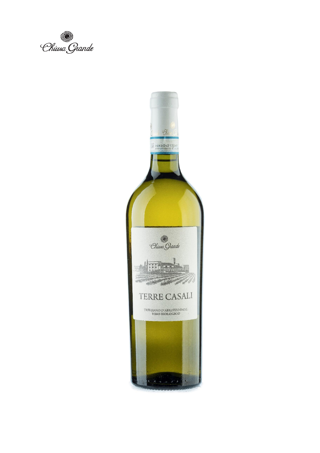Chiusa Grande